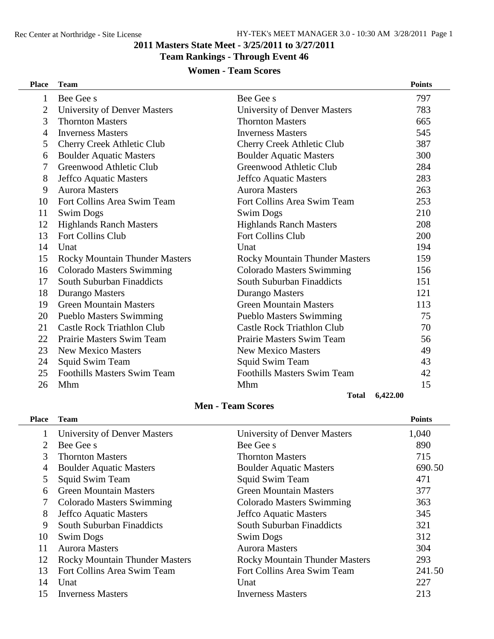#### **Masters State Meet - 3/25/2011 to 3/27/2011**

#### **Team Rankings - Through Event 46**

## **Women - Team Scores**

| <b>Place</b> | <b>Team</b>                           |                                       | <b>Points</b> |
|--------------|---------------------------------------|---------------------------------------|---------------|
| 1            | Bee Gee s                             | Bee Gee s                             | 797           |
| 2            | <b>University of Denver Masters</b>   | <b>University of Denver Masters</b>   | 783           |
| 3            | <b>Thornton Masters</b>               | <b>Thornton Masters</b>               | 665           |
| 4            | <b>Inverness Masters</b>              | <b>Inverness Masters</b>              | 545           |
| 5            | <b>Cherry Creek Athletic Club</b>     | Cherry Creek Athletic Club            | 387           |
| 6            | <b>Boulder Aquatic Masters</b>        | <b>Boulder Aquatic Masters</b>        | 300           |
| 7            | Greenwood Athletic Club               | Greenwood Athletic Club               | 284           |
| 8            | Jeffco Aquatic Masters                | Jeffco Aquatic Masters                | 283           |
| 9            | <b>Aurora Masters</b>                 | <b>Aurora Masters</b>                 | 263           |
| 10           | Fort Collins Area Swim Team           | Fort Collins Area Swim Team           | 253           |
| 11           | <b>Swim Dogs</b>                      | <b>Swim Dogs</b>                      | 210           |
| 12           | <b>Highlands Ranch Masters</b>        | <b>Highlands Ranch Masters</b>        | 208           |
| 13           | <b>Fort Collins Club</b>              | <b>Fort Collins Club</b>              | 200           |
| 14           | Unat                                  | Unat                                  | 194           |
| 15           | <b>Rocky Mountain Thunder Masters</b> | <b>Rocky Mountain Thunder Masters</b> | 159           |
| 16           | <b>Colorado Masters Swimming</b>      | <b>Colorado Masters Swimming</b>      | 156           |
| 17           | South Suburban Finaddicts             | South Suburban Finaddicts             | 151           |
| 18           | Durango Masters                       | Durango Masters                       | 121           |
| 19           | <b>Green Mountain Masters</b>         | <b>Green Mountain Masters</b>         | 113           |
| 20           | <b>Pueblo Masters Swimming</b>        | <b>Pueblo Masters Swimming</b>        | 75            |
| 21           | <b>Castle Rock Triathlon Club</b>     | <b>Castle Rock Triathlon Club</b>     | 70            |
| 22           | Prairie Masters Swim Team             | Prairie Masters Swim Team             | 56            |
| 23           | <b>New Mexico Masters</b>             | <b>New Mexico Masters</b>             | 49            |
| 24           | Squid Swim Team                       | <b>Squid Swim Team</b>                | 43            |
| 25           | <b>Foothills Masters Swim Team</b>    | <b>Foothills Masters Swim Team</b>    | 42            |
| 26           | Mhm                                   | Mhm                                   | 15            |
|              |                                       | <b>Total</b>                          | 6.422.00      |

### **Men - Team Scores**

| <b>Place</b> | <b>Team</b>                           |                                       | <b>Points</b> |
|--------------|---------------------------------------|---------------------------------------|---------------|
|              | University of Denver Masters          | University of Denver Masters          | 1,040         |
|              | Bee Gee s                             | Bee Gee s                             | 890           |
| 3            | <b>Thornton Masters</b>               | <b>Thornton Masters</b>               | 715           |
| 4            | <b>Boulder Aquatic Masters</b>        | <b>Boulder Aquatic Masters</b>        | 690.50        |
| 5            | Squid Swim Team                       | <b>Squid Swim Team</b>                | 471           |
| 6            | <b>Green Mountain Masters</b>         | <b>Green Mountain Masters</b>         | 377           |
|              | <b>Colorado Masters Swimming</b>      | Colorado Masters Swimming             | 363           |
| 8            | Jeffco Aquatic Masters                | Jeffco Aquatic Masters                | 345           |
| 9            | South Suburban Finaddicts             | South Suburban Finaddicts             | 321           |
| 10           | <b>Swim Dogs</b>                      | <b>Swim Dogs</b>                      | 312           |
| 11           | <b>Aurora Masters</b>                 | <b>Aurora Masters</b>                 | 304           |
| 12           | <b>Rocky Mountain Thunder Masters</b> | <b>Rocky Mountain Thunder Masters</b> | 293           |
| 13           | Fort Collins Area Swim Team           | Fort Collins Area Swim Team           | 241.50        |
| 14           | Unat                                  | Unat                                  | 227           |
| 15           | <b>Inverness Masters</b>              | <b>Inverness Masters</b>              | 213           |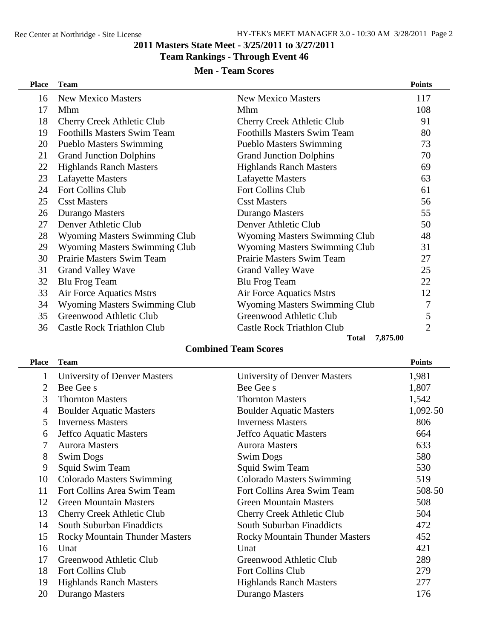#### **Masters State Meet - 3/25/2011 to 3/27/2011**

### **Team Rankings - Through Event 46**

### **Men - Team Scores**

| <b>Place</b> | <b>Team</b>                          |                                      | <b>Points</b>  |
|--------------|--------------------------------------|--------------------------------------|----------------|
| 16           | <b>New Mexico Masters</b>            | <b>New Mexico Masters</b>            | 117            |
| 17           | Mhm                                  | Mhm                                  | 108            |
| 18           | Cherry Creek Athletic Club           | <b>Cherry Creek Athletic Club</b>    | 91             |
| 19           | <b>Foothills Masters Swim Team</b>   | <b>Foothills Masters Swim Team</b>   | 80             |
| 20           | <b>Pueblo Masters Swimming</b>       | <b>Pueblo Masters Swimming</b>       | 73             |
| 21           | <b>Grand Junction Dolphins</b>       | <b>Grand Junction Dolphins</b>       | 70             |
| 22           | <b>Highlands Ranch Masters</b>       | <b>Highlands Ranch Masters</b>       | 69             |
| 23           | <b>Lafayette Masters</b>             | <b>Lafayette Masters</b>             | 63             |
| 24           | Fort Collins Club                    | Fort Collins Club                    | 61             |
| 25           | <b>Csst Masters</b>                  | <b>Csst Masters</b>                  | 56             |
| 26           | Durango Masters                      | Durango Masters                      | 55             |
| 27           | Denver Athletic Club                 | Denver Athletic Club                 | 50             |
| 28           | <b>Wyoming Masters Swimming Club</b> | <b>Wyoming Masters Swimming Club</b> | 48             |
| 29           | <b>Wyoming Masters Swimming Club</b> | <b>Wyoming Masters Swimming Club</b> | 31             |
| 30           | <b>Prairie Masters Swim Team</b>     | <b>Prairie Masters Swim Team</b>     | 27             |
| 31           | <b>Grand Valley Wave</b>             | <b>Grand Valley Wave</b>             | 25             |
| 32           | <b>Blu Frog Team</b>                 | <b>Blu Frog Team</b>                 | 22             |
| 33           | Air Force Aquatics Mstrs             | Air Force Aquatics Mstrs             | 12             |
| 34           | <b>Wyoming Masters Swimming Club</b> | <b>Wyoming Masters Swimming Club</b> | 7              |
| 35           | Greenwood Athletic Club              | Greenwood Athletic Club              | 5              |
| 36           | <b>Castle Rock Triathlon Club</b>    | <b>Castle Rock Triathlon Club</b>    | $\overline{2}$ |
|              |                                      | 7,875.00<br><b>Total</b>             |                |

### **Combined Team Scores**

| Place          | <b>Team</b>                           |                                       | <b>Points</b> |
|----------------|---------------------------------------|---------------------------------------|---------------|
| 1              | University of Denver Masters          | University of Denver Masters          | 1,981         |
| $\overline{2}$ | Bee Gee s                             | Bee Gee s                             | 1,807         |
| 3              | <b>Thornton Masters</b>               | <b>Thornton Masters</b>               | 1,542         |
| 4              | <b>Boulder Aquatic Masters</b>        | <b>Boulder Aquatic Masters</b>        | 1,092.50      |
| 5              | <b>Inverness Masters</b>              | <b>Inverness Masters</b>              | 806           |
| 6              | Jeffco Aquatic Masters                | Jeffco Aquatic Masters                | 664           |
| 7              | <b>Aurora Masters</b>                 | <b>Aurora Masters</b>                 | 633           |
| 8              | <b>Swim Dogs</b>                      | <b>Swim Dogs</b>                      | 580           |
| 9              | Squid Swim Team                       | Squid Swim Team                       | 530           |
| 10             | <b>Colorado Masters Swimming</b>      | <b>Colorado Masters Swimming</b>      | 519           |
| 11             | Fort Collins Area Swim Team           | Fort Collins Area Swim Team           | 508.50        |
| 12             | <b>Green Mountain Masters</b>         | <b>Green Mountain Masters</b>         | 508           |
| 13             | <b>Cherry Creek Athletic Club</b>     | Cherry Creek Athletic Club            | 504           |
| 14             | South Suburban Finaddicts             | South Suburban Finaddicts             | 472           |
| 15             | <b>Rocky Mountain Thunder Masters</b> | <b>Rocky Mountain Thunder Masters</b> | 452           |
| 16             | Unat                                  | Unat                                  | 421           |
| 17             | Greenwood Athletic Club               | Greenwood Athletic Club               | 289           |
| 18             | Fort Collins Club                     | Fort Collins Club                     | 279           |
| 19             | <b>Highlands Ranch Masters</b>        | <b>Highlands Ranch Masters</b>        | 277           |
| 20             | Durango Masters                       | Durango Masters                       | 176           |
|                |                                       |                                       |               |